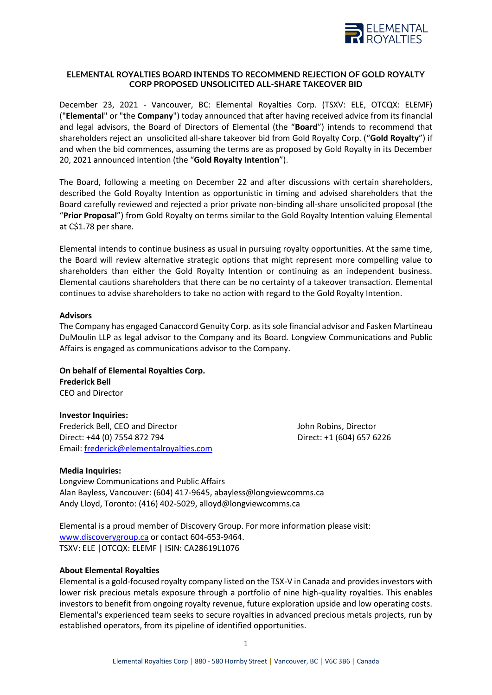

## **ELEMENTAL ROYALTIES BOARD INTENDS TO RECOMMEND REJECTION OF GOLD ROYALTY CORP PROPOSED UNSOLICITED ALL-SHARE TAKEOVER BID**

December 23, 2021 - Vancouver, BC: Elemental Royalties Corp. (TSXV: ELE, OTCQX: ELEMF) ("**Elemental**" or "the **Company**") today announced that after having received advice from its financial and legal advisors, the Board of Directors of Elemental (the "**Board**") intends to recommend that shareholders reject an unsolicited all-share takeover bid from Gold Royalty Corp. ("**Gold Royalty**") if and when the bid commences, assuming the terms are as proposed by Gold Royalty in its December 20, 2021 announced intention (the "**Gold Royalty Intention**").

The Board, following a meeting on December 22 and after discussions with certain shareholders, described the Gold Royalty Intention as opportunistic in timing and advised shareholders that the Board carefully reviewed and rejected a prior private non-binding all-share unsolicited proposal (the "**Prior Proposal**") from Gold Royalty on terms similar to the Gold Royalty Intention valuing Elemental at C\$1.78 per share.

Elemental intends to continue business as usual in pursuing royalty opportunities. At the same time, the Board will review alternative strategic options that might represent more compelling value to shareholders than either the Gold Royalty Intention or continuing as an independent business. Elemental cautions shareholders that there can be no certainty of a takeover transaction. Elemental continues to advise shareholders to take no action with regard to the Gold Royalty Intention.

#### **Advisors**

The Company has engaged Canaccord Genuity Corp. as its sole financial advisor and Fasken Martineau DuMoulin LLP as legal advisor to the Company and its Board. Longview Communications and Public Affairs is engaged as communications advisor to the Company.

**On behalf of Elemental Royalties Corp. Frederick Bell** CEO and Director

**Investor Inquiries:** Frederick Bell, CEO and Director John Robins, Director Direct: +44 (0) 7554 872 794 Direct: +1 (604) 657 6226 Email: [frederick@elementalroyalties.com](mailto:frederick@elementalroyalties.com)

## **Media Inquiries:**

Longview Communications and Public Affairs Alan Bayless, Vancouver: (604) 417-9645, abayless@longviewcomms.ca Andy Lloyd, Toronto: (416) 402-5029, alloyd@longviewcomms.ca

Elemental is a proud member of Discovery Group. For more information please visit: [www.discoverygroup.ca](http://www.discoverygroup.ca/) or contact 604-653-9464. TSXV: ELE |OTCQX: ELEMF | ISIN: CA28619L1076

## **About Elemental Royalties**

Elemental is a gold-focused royalty company listed on the TSX-V in Canada and provides investors with lower risk precious metals exposure through a portfolio of nine high-quality royalties. This enables investors to benefit from ongoing royalty revenue, future exploration upside and low operating costs. Elemental's experienced team seeks to secure royalties in advanced precious metals projects, run by established operators, from its pipeline of identified opportunities.